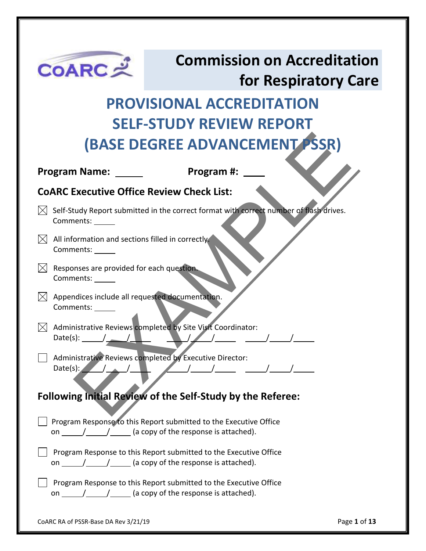| <b>COARCメ</b>                                                             | <b>Commission on Accreditation</b>                                                                                                                                                                                                                                                                                                                                                                                                                                                       |                      |
|---------------------------------------------------------------------------|------------------------------------------------------------------------------------------------------------------------------------------------------------------------------------------------------------------------------------------------------------------------------------------------------------------------------------------------------------------------------------------------------------------------------------------------------------------------------------------|----------------------|
|                                                                           |                                                                                                                                                                                                                                                                                                                                                                                                                                                                                          | for Respiratory Care |
|                                                                           | <b>PROVISIONAL ACCREDITATION</b>                                                                                                                                                                                                                                                                                                                                                                                                                                                         |                      |
|                                                                           | <b>SELF-STUDY REVIEW REPORT</b>                                                                                                                                                                                                                                                                                                                                                                                                                                                          |                      |
|                                                                           | (BASE DEGREE ADVANCEMENT PSSR)                                                                                                                                                                                                                                                                                                                                                                                                                                                           |                      |
| <b>Program Name:</b>                                                      | Program #:                                                                                                                                                                                                                                                                                                                                                                                                                                                                               |                      |
|                                                                           |                                                                                                                                                                                                                                                                                                                                                                                                                                                                                          |                      |
| <b>COARC Executive Office Review Check List:</b>                          |                                                                                                                                                                                                                                                                                                                                                                                                                                                                                          |                      |
| Comments:                                                                 | Self-Study Report submitted in the correct format with correct number of flash drives.                                                                                                                                                                                                                                                                                                                                                                                                   |                      |
| All information and sections filled in correctly.<br>Comments: ______     |                                                                                                                                                                                                                                                                                                                                                                                                                                                                                          |                      |
| Responses are provided for each question.<br>Comments: ______             |                                                                                                                                                                                                                                                                                                                                                                                                                                                                                          |                      |
| Appendices include all requested documentation.<br>IХI<br>Comments: _____ |                                                                                                                                                                                                                                                                                                                                                                                                                                                                                          |                      |
| Date(s): $\_\_$                                                           | Administrative Reviews completed by Site Visit Coordinator:                                                                                                                                                                                                                                                                                                                                                                                                                              |                      |
| Date(s): $\angle$                                                         | Administrative Reviews completed by Executive Director:                                                                                                                                                                                                                                                                                                                                                                                                                                  |                      |
|                                                                           | <b>Following Initial Review of the Self-Study by the Referee:</b>                                                                                                                                                                                                                                                                                                                                                                                                                        |                      |
|                                                                           | Program Response to this Report submitted to the Executive Office<br>on $\frac{1}{\sqrt{1-\frac{1}{1-\frac{1}{1-\frac{1}{1-\frac{1}{1-\frac{1}{1-\frac{1}{1-\frac{1}{1-\frac{1}{1-\frac{1}{1-\frac{1}{1-\frac{1}{1-\frac{1}{1-\frac{1}{1-\frac{1}{1-\frac{1}{1-\frac{1}{1-\frac{1}{1-\frac{1}{1-\frac{1}{1-\frac{1}{1-\frac{1}{1-\frac{1}{1-\frac{1}{1-\frac{1}{1-\frac{1}{1-\frac{1}{1-\frac{1}{1-\frac{1}{1-\frac{1}{1-\frac{1}{1-\frac{1}{1-\frac{1}{1-\frac{1}{1-\frac{1}{1-\frac{1$ |                      |
|                                                                           | Program Response to this Report submitted to the Executive Office<br>on $\frac{1}{\sqrt{1-\frac{1}{1-\frac{1}{1-\frac{1}{1-\frac{1}{1-\frac{1}{1-\frac{1}{1-\frac{1}{1-\frac{1}{1-\frac{1}{1-\frac{1}{1-\frac{1}{1-\frac{1}{1-\frac{1}{1-\frac{1}{1-\frac{1}{1-\frac{1}{1-\frac{1}{1-\frac{1}{1-\frac{1}{1-\frac{1}{1-\frac{1}{1-\frac{1}{1-\frac{1}{1-\frac{1}{1-\frac{1}{1-\frac{1}{1-\frac{1}{1-\frac{1}{1-\frac{1}{1-\frac{1}{1-\frac{1}{1-\frac{1}{1-\frac{1}{1-\frac{1}{1-\frac{1$ |                      |
|                                                                           | Program Response to this Report submitted to the Executive Office<br>on $\frac{1}{\sqrt{1-\frac{1}{1-\frac{1}{1-\frac{1}{1-\frac{1}{1-\frac{1}{1-\frac{1}{1-\frac{1}{1-\frac{1}{1-\frac{1}{1-\frac{1}{1-\frac{1}{1-\frac{1}{1-\frac{1}{1-\frac{1}{1-\frac{1}{1-\frac{1}{1-\frac{1}{1-\frac{1}{1-\frac{1}{1-\frac{1}{1-\frac{1}{1-\frac{1}{1-\frac{1}{1-\frac{1}{1-\frac{1}{1-\frac{1}{1-\frac{1}{1-\frac{1}{1-\frac{1}{1-\frac{1}{1-\frac{1}{1-\frac{1}{1-\frac{1}{1-\frac{1}{1-\frac{1$ |                      |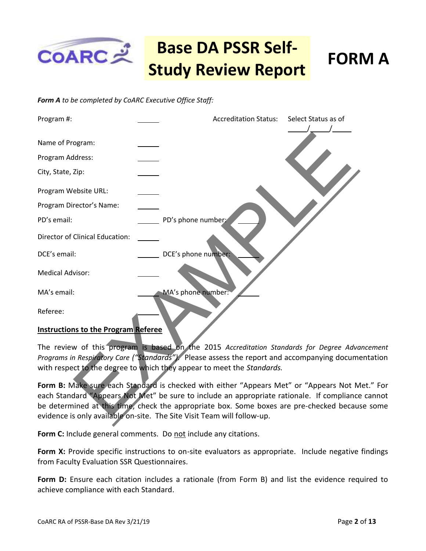

### *Form A to be completed by CoARC Executive Office Staff:*



The review of this program is based on the 2015 *Accreditation Standards for Degree Advancement Programs in Respiratory Care ("Standards").* Please assess the report and accompanying documentation with respect to the degree to which they appear to meet the *Standards.* 

**Form B:** Make sure each Standard is checked with either "Appears Met" or "Appears Not Met." For each Standard "Appears Not Met" be sure to include an appropriate rationale. If compliance cannot be determined at this time, check the appropriate box. Some boxes are pre-checked because some evidence is only available on-site. The Site Visit Team will follow-up.

Form C: Include general comments. Do not include any citations.

**Form X:** Provide specific instructions to on-site evaluators as appropriate. Include negative findings from Faculty Evaluation SSR Questionnaires.

**Form D:** Ensure each citation includes a rationale (from Form B) and list the evidence required to achieve compliance with each Standard.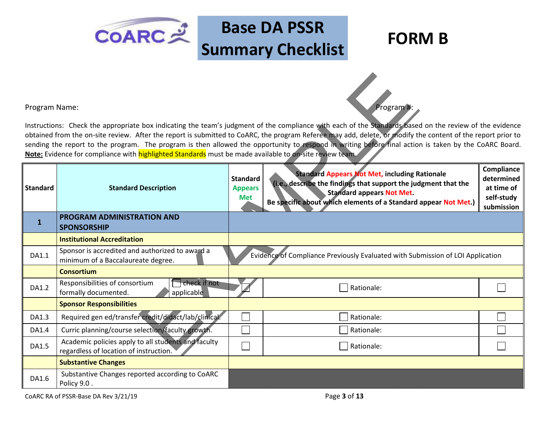### **Base DA PSSR Summary Checklist FORM B**

 $COARC  $\approx 2$$ 

| Program Name:   |                                                                                                         |                                                 | Program <sup>#</sup>                                                                                                                                                                                                                                                                                                                                                                                                                                                            |                                                                    |  |
|-----------------|---------------------------------------------------------------------------------------------------------|-------------------------------------------------|---------------------------------------------------------------------------------------------------------------------------------------------------------------------------------------------------------------------------------------------------------------------------------------------------------------------------------------------------------------------------------------------------------------------------------------------------------------------------------|--------------------------------------------------------------------|--|
|                 | Note: Evidence for compliance with highlighted Standards must be made available to on-site review team. |                                                 | Instructions: Check the appropriate box indicating the team's judgment of the compliance with each of the Standards based on the review of the evidence<br>obtained from the on-site review. After the report is submitted to CoARC, the program Referee may add, delete, or modify the content of the report prior to<br>sending the report to the program. The program is then allowed the opportunity to respond in writing before final action is taken by the CoARC Board. |                                                                    |  |
| <b>Standard</b> | <b>Standard Description</b>                                                                             | <b>Standard</b><br><b>Appears</b><br><b>Met</b> | <b>Standard Appears Not Met, including Rationale</b><br>(i.e., describe the findings that support the judgment that the<br><b>Standard appears Not Met.</b><br>Be specific about which elements of a Standard appear Not Met.)                                                                                                                                                                                                                                                  | Compliance<br>determined<br>at time of<br>self-study<br>submission |  |
| $\mathbf{1}$    | <b>PROGRAM ADMINISTRATION AND</b><br><b>SPONSORSHIP</b>                                                 |                                                 |                                                                                                                                                                                                                                                                                                                                                                                                                                                                                 |                                                                    |  |
|                 | <b>Institutional Accreditation</b>                                                                      |                                                 |                                                                                                                                                                                                                                                                                                                                                                                                                                                                                 |                                                                    |  |
| DA1.1           | Sponsor is accredited and authorized to award a<br>minimum of a Baccalaureate degree.                   |                                                 | Evidence of Compliance Previously Evaluated with Submission of LOI Application                                                                                                                                                                                                                                                                                                                                                                                                  |                                                                    |  |
|                 | <b>Consortium</b>                                                                                       |                                                 |                                                                                                                                                                                                                                                                                                                                                                                                                                                                                 |                                                                    |  |
| DA1.2           | $\Box$ check if not<br>Responsibilities of consortium<br>formally documented.<br>applicable             |                                                 | Rationale:                                                                                                                                                                                                                                                                                                                                                                                                                                                                      |                                                                    |  |
|                 | <b>Sponsor Responsibilities</b>                                                                         |                                                 |                                                                                                                                                                                                                                                                                                                                                                                                                                                                                 |                                                                    |  |
| DA1.3           | Required gen ed/transfer credit/didact/lab/clinical.                                                    |                                                 | Rationale:                                                                                                                                                                                                                                                                                                                                                                                                                                                                      |                                                                    |  |
| DA1.4           | Curric planning/course selection/faculty growth.                                                        |                                                 | Rationale:                                                                                                                                                                                                                                                                                                                                                                                                                                                                      |                                                                    |  |
| <b>DA1.5</b>    | Academic policies apply to all students and faculty<br>regardless of location of instruction.           |                                                 | Rationale:                                                                                                                                                                                                                                                                                                                                                                                                                                                                      |                                                                    |  |
|                 | <b>Substantive Changes</b>                                                                              |                                                 |                                                                                                                                                                                                                                                                                                                                                                                                                                                                                 |                                                                    |  |
| DA1.6           | Substantive Changes reported according to CoARC<br>Policy 9.0.                                          |                                                 |                                                                                                                                                                                                                                                                                                                                                                                                                                                                                 |                                                                    |  |

CoARC RA of PSSR-Base DA Rev 3/21/19 Page **3** of **13**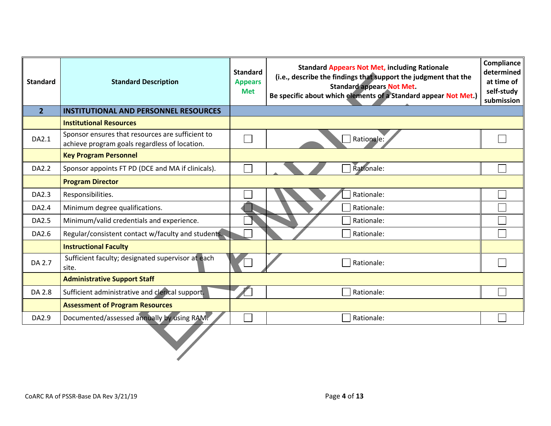| <b>Standard</b> | <b>Standard Description</b>                                                                       | <b>Standard</b><br><b>Appears</b><br><b>Met</b> | <b>Standard Appears Not Met, including Rationale</b><br>(i.e., describe the findings that support the judgment that the<br><b>Standard appears Not Met.</b><br>Be specific about which elements of a Standard appear Not Met.) | Compliance<br>determined<br>at time of<br>self-study<br>submission |
|-----------------|---------------------------------------------------------------------------------------------------|-------------------------------------------------|--------------------------------------------------------------------------------------------------------------------------------------------------------------------------------------------------------------------------------|--------------------------------------------------------------------|
| $\overline{2}$  | <b>INSTITUTIONAL AND PERSONNEL RESOURCES</b>                                                      |                                                 |                                                                                                                                                                                                                                |                                                                    |
|                 | <b>Institutional Resources</b>                                                                    |                                                 |                                                                                                                                                                                                                                |                                                                    |
| DA2.1           | Sponsor ensures that resources are sufficient to<br>achieve program goals regardless of location. |                                                 | Rationale:                                                                                                                                                                                                                     |                                                                    |
|                 | <b>Key Program Personnel</b>                                                                      |                                                 |                                                                                                                                                                                                                                |                                                                    |
| DA2.2           | Sponsor appoints FT PD (DCE and MA if clinicals).                                                 |                                                 | Rationale:                                                                                                                                                                                                                     |                                                                    |
|                 | <b>Program Director</b>                                                                           |                                                 |                                                                                                                                                                                                                                |                                                                    |
| DA2.3           | Responsibilities.                                                                                 |                                                 | Rationale:                                                                                                                                                                                                                     |                                                                    |
| DA2.4           | Minimum degree qualifications.                                                                    |                                                 | Rationale:                                                                                                                                                                                                                     |                                                                    |
| DA2.5           | Minimum/valid credentials and experience.                                                         |                                                 | Rationale:                                                                                                                                                                                                                     |                                                                    |
| DA2.6           | Regular/consistent contact w/faculty and students.                                                |                                                 | Rationale:                                                                                                                                                                                                                     |                                                                    |
|                 | <b>Instructional Faculty</b>                                                                      |                                                 |                                                                                                                                                                                                                                |                                                                    |
| DA 2.7          | Sufficient faculty; designated supervisor at each<br>site.                                        |                                                 | Rationale:                                                                                                                                                                                                                     |                                                                    |
|                 | <b>Administrative Support Staff</b>                                                               |                                                 |                                                                                                                                                                                                                                |                                                                    |
| DA 2.8          | Sufficient administrative and clerical support.                                                   |                                                 | Rationale:                                                                                                                                                                                                                     |                                                                    |
|                 | <b>Assessment of Program Resources</b>                                                            |                                                 |                                                                                                                                                                                                                                |                                                                    |
| DA2.9           | Documented/assessed annually by using RAM.                                                        |                                                 | Rationale:                                                                                                                                                                                                                     |                                                                    |
|                 |                                                                                                   |                                                 |                                                                                                                                                                                                                                |                                                                    |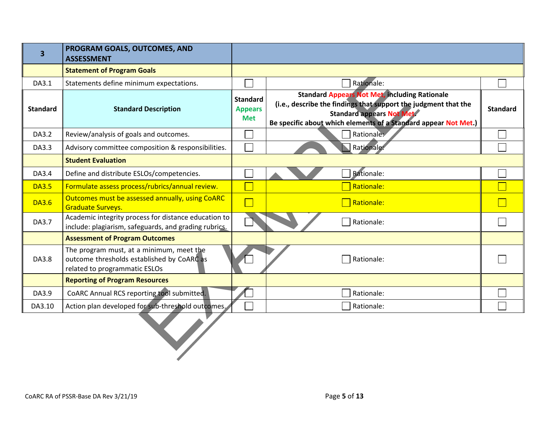| 3               | PROGRAM GOALS, OUTCOMES, AND<br><b>ASSESSMENT</b>                                                                       |                                                                                                                                                                                                                                                                                   |            |                 |
|-----------------|-------------------------------------------------------------------------------------------------------------------------|-----------------------------------------------------------------------------------------------------------------------------------------------------------------------------------------------------------------------------------------------------------------------------------|------------|-----------------|
|                 | <b>Statement of Program Goals</b>                                                                                       |                                                                                                                                                                                                                                                                                   |            |                 |
| DA3.1           | Statements define minimum expectations.                                                                                 |                                                                                                                                                                                                                                                                                   | Rationale: |                 |
| <b>Standard</b> | <b>Standard Description</b>                                                                                             | <b>Standard Appears Not Met, including Rationale</b><br><b>Standard</b><br>(i.e., describe the findings that support the judgment that the<br><b>Appears</b><br><b>Standard appears Not Met.</b><br><b>Met</b><br>Be specific about which elements of a Standard appear Not Met.) |            | <b>Standard</b> |
| DA3.2           | Review/analysis of goals and outcomes.                                                                                  |                                                                                                                                                                                                                                                                                   | Rationales |                 |
| DA3.3           | Advisory committee composition & responsibilities.                                                                      |                                                                                                                                                                                                                                                                                   | Rationale: |                 |
|                 | <b>Student Evaluation</b>                                                                                               |                                                                                                                                                                                                                                                                                   |            |                 |
| DA3.4           | Define and distribute ESLOs/competencies.                                                                               |                                                                                                                                                                                                                                                                                   | Rationale: |                 |
| <b>DA3.5</b>    | Formulate assess process/rubrics/annual review.                                                                         |                                                                                                                                                                                                                                                                                   | Rationale: |                 |
| <b>DA3.6</b>    | Outcomes must be assessed annually, using CoARC<br><b>Graduate Surveys.</b>                                             |                                                                                                                                                                                                                                                                                   | Rationale: |                 |
| DA3.7           | Academic integrity process for distance education to<br>include: plagiarism, safeguards, and grading rubrics.           |                                                                                                                                                                                                                                                                                   | Rationale: |                 |
|                 | <b>Assessment of Program Outcomes</b>                                                                                   |                                                                                                                                                                                                                                                                                   |            |                 |
| DA3.8           | The program must, at a minimum, meet the<br>outcome thresholds established by CoARC as<br>related to programmatic ESLOs |                                                                                                                                                                                                                                                                                   | Rationale: |                 |
|                 | <b>Reporting of Program Resources</b>                                                                                   |                                                                                                                                                                                                                                                                                   |            |                 |
| DA3.9           | CoARC Annual RCS reporting tool submitted.                                                                              |                                                                                                                                                                                                                                                                                   | Rationale: |                 |
| DA3.10          | Action plan developed for sub-threshold outcomes.                                                                       |                                                                                                                                                                                                                                                                                   | Rationale: |                 |
|                 |                                                                                                                         |                                                                                                                                                                                                                                                                                   |            |                 |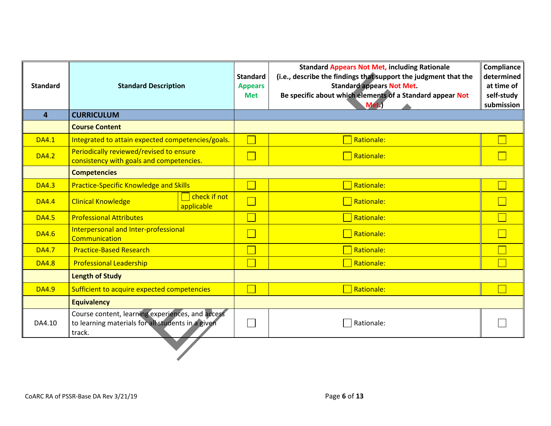| <b>Standard</b> | <b>Standard Description</b>                                                                                     | <b>Standard</b><br><b>Appears</b><br><b>Met</b> | <b>Standard Appears Not Met, including Rationale</b><br>(i.e., describe the findings that support the judgment that the<br><b>Standard appears Not Met.</b><br>Be specific about which elements of a Standard appear Not<br>Met.) | <b>Compliance</b><br>determined<br>at time of<br>self-study<br>submission |
|-----------------|-----------------------------------------------------------------------------------------------------------------|-------------------------------------------------|-----------------------------------------------------------------------------------------------------------------------------------------------------------------------------------------------------------------------------------|---------------------------------------------------------------------------|
| $\overline{4}$  | <b>CURRICULUM</b>                                                                                               |                                                 |                                                                                                                                                                                                                                   |                                                                           |
|                 | <b>Course Content</b>                                                                                           |                                                 |                                                                                                                                                                                                                                   |                                                                           |
| <b>DA4.1</b>    | Integrated to attain expected competencies/goals.                                                               |                                                 | Rationale:                                                                                                                                                                                                                        |                                                                           |
| <b>DA4.2</b>    | Periodically reviewed/revised to ensure<br>consistency with goals and competencies.                             |                                                 | Rationale:                                                                                                                                                                                                                        |                                                                           |
|                 | <b>Competencies</b>                                                                                             |                                                 |                                                                                                                                                                                                                                   |                                                                           |
| <b>DA4.3</b>    | <b>Practice-Specific Knowledge and Skills</b>                                                                   |                                                 | Rationale:                                                                                                                                                                                                                        |                                                                           |
| <b>DA4.4</b>    | check if not<br><b>Clinical Knowledge</b><br>applicable                                                         |                                                 | Rationale:                                                                                                                                                                                                                        |                                                                           |
| <b>DA4.5</b>    | <b>Professional Attributes</b>                                                                                  |                                                 | Rationale:                                                                                                                                                                                                                        |                                                                           |
| <b>DA4.6</b>    | Interpersonal and Inter-professional<br>Communication                                                           |                                                 | Rationale:                                                                                                                                                                                                                        |                                                                           |
| <b>DA4.7</b>    | <b>Practice-Based Research</b>                                                                                  |                                                 | Rationale:                                                                                                                                                                                                                        |                                                                           |
| <b>DA4.8</b>    | <b>Professional Leadership</b>                                                                                  |                                                 | Rationale:                                                                                                                                                                                                                        |                                                                           |
|                 | <b>Length of Study</b>                                                                                          |                                                 |                                                                                                                                                                                                                                   |                                                                           |
| <b>DA4.9</b>    | Sufficient to acquire expected competencies                                                                     |                                                 | <b>Rationale:</b>                                                                                                                                                                                                                 |                                                                           |
|                 | <b>Equivalency</b>                                                                                              |                                                 |                                                                                                                                                                                                                                   |                                                                           |
| DA4.10          | Course content, learning experiences, and access<br>to learning materials for all students in a given<br>track. |                                                 | Rationale:                                                                                                                                                                                                                        |                                                                           |
|                 |                                                                                                                 |                                                 |                                                                                                                                                                                                                                   |                                                                           |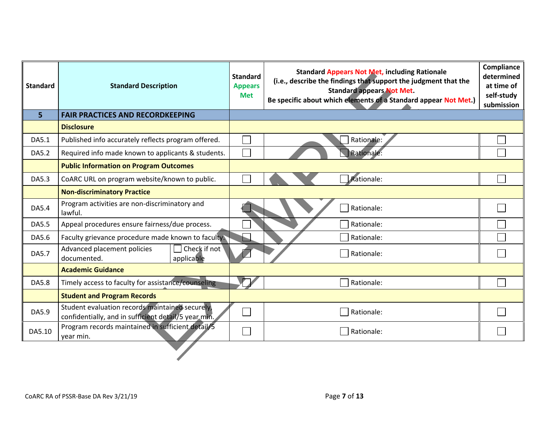| <b>Standard</b> | <b>Standard Description</b>                                                                             | <b>Standard</b><br><b>Appears</b><br><b>Met</b> | <b>Standard Appears Not Met, including Rationale</b><br>(i.e., describe the findings that support the judgment that the<br><b>Standard appears Not Met.</b><br>Be specific about which elements of a Standard appear Not Met.) | Compliance<br>determined<br>at time of<br>self-study<br>submission |
|-----------------|---------------------------------------------------------------------------------------------------------|-------------------------------------------------|--------------------------------------------------------------------------------------------------------------------------------------------------------------------------------------------------------------------------------|--------------------------------------------------------------------|
| 5 <sup>1</sup>  | <b>FAIR PRACTICES AND RECORDKEEPING</b>                                                                 |                                                 |                                                                                                                                                                                                                                |                                                                    |
|                 | <b>Disclosure</b>                                                                                       |                                                 |                                                                                                                                                                                                                                |                                                                    |
| DA5.1           | Published info accurately reflects program offered.                                                     |                                                 | Rationale:                                                                                                                                                                                                                     |                                                                    |
| DA5.2           | Required info made known to applicants & students.                                                      | Ξ                                               | Rationale:                                                                                                                                                                                                                     |                                                                    |
|                 | <b>Public Information on Program Outcomes</b>                                                           |                                                 |                                                                                                                                                                                                                                |                                                                    |
| DA5.3           | CoARC URL on program website/known to public.                                                           |                                                 | Rationale:                                                                                                                                                                                                                     |                                                                    |
|                 | <b>Non-discriminatory Practice</b>                                                                      |                                                 |                                                                                                                                                                                                                                |                                                                    |
| DA5.4           | Program activities are non-discriminatory and<br>lawful.                                                |                                                 | Rationale:                                                                                                                                                                                                                     |                                                                    |
| DA5.5           | Appeal procedures ensure fairness/due process.                                                          |                                                 | Rationale:                                                                                                                                                                                                                     |                                                                    |
| DA5.6           | Faculty grievance procedure made known to faculty.                                                      |                                                 | Rationale:                                                                                                                                                                                                                     |                                                                    |
| DA5.7           | Check if not<br>Advanced placement policies<br>documented.<br>applicable                                |                                                 | Rationale:                                                                                                                                                                                                                     |                                                                    |
|                 | <b>Academic Guidance</b>                                                                                |                                                 |                                                                                                                                                                                                                                |                                                                    |
| <b>DA5.8</b>    | Timely access to faculty for assistance/counseling                                                      |                                                 | Rationale:                                                                                                                                                                                                                     |                                                                    |
|                 | <b>Student and Program Records</b>                                                                      |                                                 |                                                                                                                                                                                                                                |                                                                    |
| DA5.9           | Student evaluation records maintained securely,<br>confidentially, and in sufficient detail/5 year min. |                                                 | Rationale:                                                                                                                                                                                                                     |                                                                    |
| DA5.10          | Program records maintained in sufficient detail/5<br>year min.                                          |                                                 | Rationale:                                                                                                                                                                                                                     |                                                                    |
|                 |                                                                                                         |                                                 |                                                                                                                                                                                                                                |                                                                    |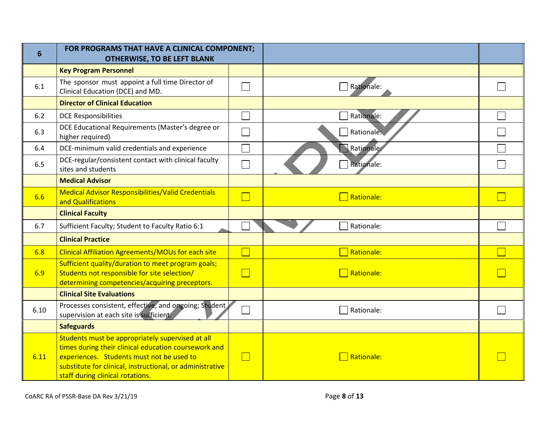| 6    | FOR PROGRAMS THAT HAVE A CLINICAL COMPONENT;<br><b>OTHERWISE, TO BE LEFT BLANK</b>                                                                                                                                                                     |                          |                   |  |
|------|--------------------------------------------------------------------------------------------------------------------------------------------------------------------------------------------------------------------------------------------------------|--------------------------|-------------------|--|
|      | <b>Key Program Personnel</b>                                                                                                                                                                                                                           |                          |                   |  |
| 6.1  | The sponsor must appoint a full time Director of<br>Clinical Education (DCE) and MD.                                                                                                                                                                   |                          | Rationale:        |  |
|      | <b>Director of Clinical Education</b>                                                                                                                                                                                                                  |                          |                   |  |
| 6.2  | <b>DCE Responsibilities</b>                                                                                                                                                                                                                            |                          | Rationale:        |  |
| 6.3  | DCE Educational Requirements (Master's degree or<br>higher required)                                                                                                                                                                                   |                          | Rationale:        |  |
| 6.4  | DCE-minimum valid credentials and experience                                                                                                                                                                                                           |                          | Rationale:        |  |
| 6.5  | DCE-regular/consistent contact with clinical faculty<br>sites and students                                                                                                                                                                             |                          | Rationale:        |  |
|      | <b>Medical Advisor</b>                                                                                                                                                                                                                                 |                          |                   |  |
| 6.6  | <b>Medical Advisor Responsibilities/Valid Credentials</b><br>and Qualifications                                                                                                                                                                        | $\overline{\phantom{0}}$ | $\Box$ Rationale: |  |
|      | <b>Clinical Faculty</b>                                                                                                                                                                                                                                |                          |                   |  |
| 6.7  | Sufficient Faculty; Student to Faculty Ratio 6:1                                                                                                                                                                                                       |                          | Rationale:        |  |
|      | <b>Clinical Practice</b>                                                                                                                                                                                                                               |                          |                   |  |
| 6.8  | <b>Clinical Affiliation Agreements/MOUs for each site</b>                                                                                                                                                                                              | $\Box$                   | <b>Rationale:</b> |  |
|      | Sufficient quality/duration to meet program goals;                                                                                                                                                                                                     |                          |                   |  |
| 6.9  | Students not responsible for site selection/<br>determining competencies/acquiring preceptors.                                                                                                                                                         | $\Box$                   | Rationale:        |  |
|      | <b>Clinical Site Evaluations</b>                                                                                                                                                                                                                       |                          |                   |  |
| 6.10 | Processes consistent, effective, and ongoing; Student,<br>supervision at each site is sufficient.                                                                                                                                                      |                          | Rationale:        |  |
|      | <b>Safeguards</b>                                                                                                                                                                                                                                      |                          |                   |  |
| 6.11 | Students must be appropriately supervised at all<br>times during their clinical education coursework and<br>experiences. Students must not be used to<br>substitute for clinical, instructional, or administrative<br>staff during clinical rotations. | $\Box$                   | <b>Rationale:</b> |  |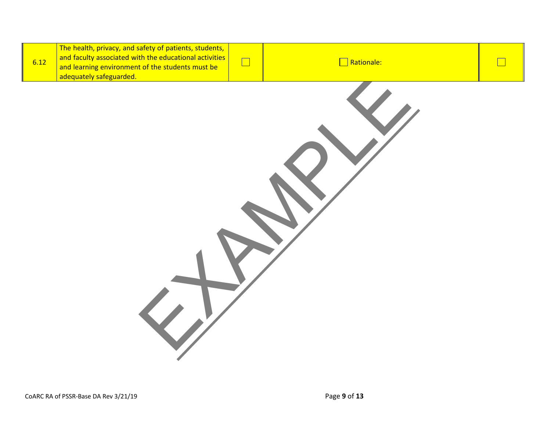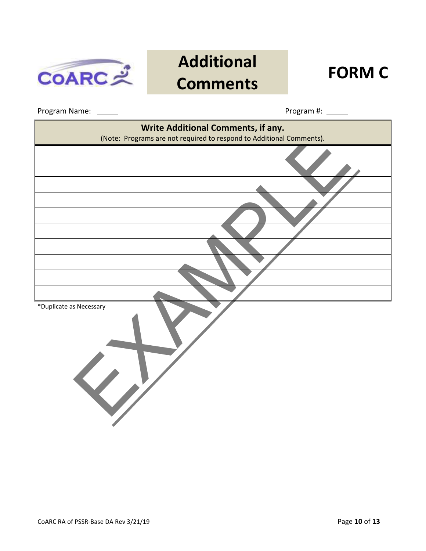

## **Additional Comments FORM C**

Program Name: Program #:

| Write Additional Comments, if any.<br>(Note: Programs are not required to respond to Additional Comments). |
|------------------------------------------------------------------------------------------------------------|
|                                                                                                            |
|                                                                                                            |
|                                                                                                            |
|                                                                                                            |
|                                                                                                            |
|                                                                                                            |
|                                                                                                            |
|                                                                                                            |
|                                                                                                            |
| *Duplicate as Necessary                                                                                    |
|                                                                                                            |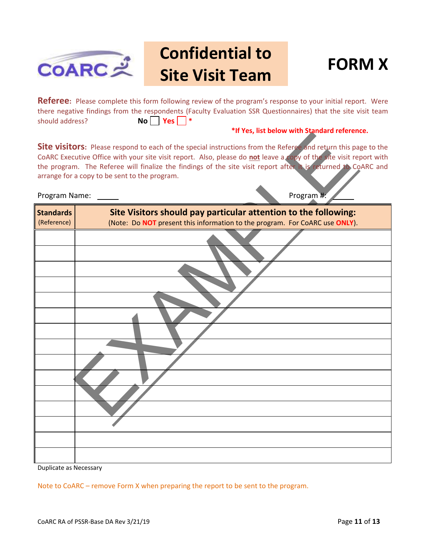

## **Confidential to Site Visit Team FORM X**



**Referee:** Please complete this form following review of the program's response to your initial report. Were there negative findings from the respondents (Faculty Evaluation SSR Questionnaires) that the site visit team should address? **No Yes | \*** 

### **\*If Yes, list below with Standard reference.**

|  | Program Name: |  |
|--|---------------|--|
|--|---------------|--|

|                  | <b>If Tes, ilst below with standard reference.</b>                                                                                                                                                                                                                                                                                                                                                                    |
|------------------|-----------------------------------------------------------------------------------------------------------------------------------------------------------------------------------------------------------------------------------------------------------------------------------------------------------------------------------------------------------------------------------------------------------------------|
| Program Name:    | Site visitors: Please respond to each of the special instructions from the Referge and return this page to the<br>CoARC Executive Office with your site visit report. Also, please do not leave a copy of the site visit report with<br>the program. The Referee will finalize the findings of the site visit report after it is returned to CoARC and<br>arrange for a copy to be sent to the program.<br>Program #: |
| <b>Standards</b> | Site Visitors should pay particular attention to the following:                                                                                                                                                                                                                                                                                                                                                       |
| (Reference)      | (Note: Do NOT present this information to the program. For CoARC use ONLY).                                                                                                                                                                                                                                                                                                                                           |
|                  |                                                                                                                                                                                                                                                                                                                                                                                                                       |
|                  |                                                                                                                                                                                                                                                                                                                                                                                                                       |
|                  |                                                                                                                                                                                                                                                                                                                                                                                                                       |
|                  |                                                                                                                                                                                                                                                                                                                                                                                                                       |
|                  |                                                                                                                                                                                                                                                                                                                                                                                                                       |
|                  |                                                                                                                                                                                                                                                                                                                                                                                                                       |
|                  |                                                                                                                                                                                                                                                                                                                                                                                                                       |
|                  |                                                                                                                                                                                                                                                                                                                                                                                                                       |
|                  |                                                                                                                                                                                                                                                                                                                                                                                                                       |
|                  |                                                                                                                                                                                                                                                                                                                                                                                                                       |
|                  |                                                                                                                                                                                                                                                                                                                                                                                                                       |

Duplicate as Necessary

Note to CoARC – remove Form X when preparing the report to be sent to the program.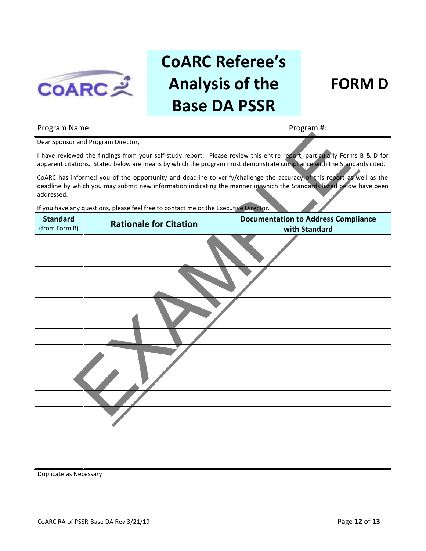

# **CoARC Referee's Analysis of the Base DA PSSR**

### **FORM D**

### Program Name: Program #:

|                                  | Dear Sponsor and Program Director,                                                   |                                                                                                                                                                                                                                                   |
|----------------------------------|--------------------------------------------------------------------------------------|---------------------------------------------------------------------------------------------------------------------------------------------------------------------------------------------------------------------------------------------------|
|                                  |                                                                                      | I have reviewed the findings from your self-study report. Please review this entire report, particularly Forms B & D for<br>apparent citations. Stated below are means by which the program must demonstrate compliance with the Standards cited. |
| addressed.                       |                                                                                      | CoARC has informed you of the opportunity and deadline to verify/challenge the accuracy of this report as well as the<br>deadline by which you may submit new information indicating the manner in which the Standards listed below have been     |
|                                  | If you have any questions, please feel free to contact me or the Executive Director. |                                                                                                                                                                                                                                                   |
| <b>Standard</b><br>(from Form B) | <b>Rationale for Citation</b>                                                        | <b>Documentation to Address Compliance</b><br>with Standard                                                                                                                                                                                       |
|                                  |                                                                                      |                                                                                                                                                                                                                                                   |
|                                  |                                                                                      |                                                                                                                                                                                                                                                   |
|                                  |                                                                                      |                                                                                                                                                                                                                                                   |
|                                  |                                                                                      |                                                                                                                                                                                                                                                   |
|                                  |                                                                                      |                                                                                                                                                                                                                                                   |
|                                  |                                                                                      |                                                                                                                                                                                                                                                   |
|                                  |                                                                                      |                                                                                                                                                                                                                                                   |
|                                  |                                                                                      |                                                                                                                                                                                                                                                   |
|                                  |                                                                                      |                                                                                                                                                                                                                                                   |
|                                  |                                                                                      |                                                                                                                                                                                                                                                   |
|                                  |                                                                                      |                                                                                                                                                                                                                                                   |
|                                  |                                                                                      |                                                                                                                                                                                                                                                   |
|                                  |                                                                                      |                                                                                                                                                                                                                                                   |
|                                  |                                                                                      |                                                                                                                                                                                                                                                   |
|                                  |                                                                                      |                                                                                                                                                                                                                                                   |

Duplicate as Necessary